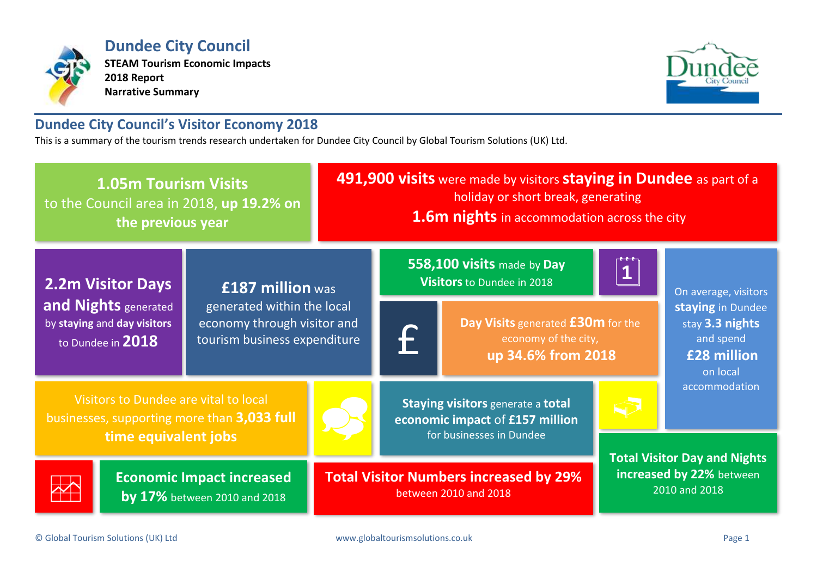

**Dundee City Council STEAM Tourism Economic Impacts 2018 Report Narrative Summary**



# **Dundee City Council's Visitor Economy 2018**

This is a summary of the tourism trends research undertaken for Dundee City Council by Global Tourism Solutions (UK) Ltd.

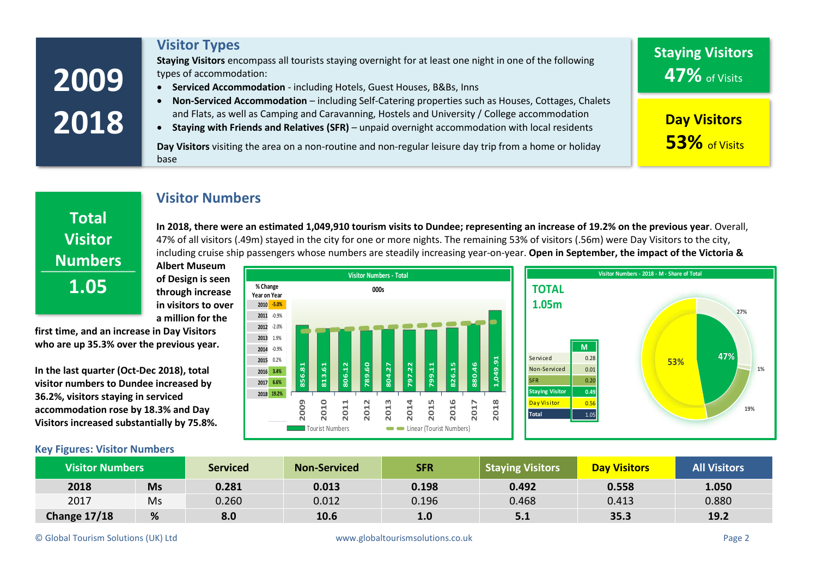| Non-Serviced Accommodation - including Self-Catering properties such as Houses, Cottages, Chalets<br>and Flats, as well as Camping and Caravanning, Hostels and University / College accommodation<br>2018<br><b>Day Visitors</b><br>Staying with Friends and Relatives (SFR) - unpaid overnight accommodation with local residents<br>53% of Visits<br>Day Visitors visiting the area on a non-routine and non-regular leisure day trip from a home or holiday<br>base<br><b>Visitor Numbers</b> | 2009         | types of accommodation:<br>Serviced Accommodation - including Hotels, Guest Houses, B&Bs, Inns<br>$\bullet$ | 47% of Visits |  |  |  |  |
|---------------------------------------------------------------------------------------------------------------------------------------------------------------------------------------------------------------------------------------------------------------------------------------------------------------------------------------------------------------------------------------------------------------------------------------------------------------------------------------------------|--------------|-------------------------------------------------------------------------------------------------------------|---------------|--|--|--|--|
|                                                                                                                                                                                                                                                                                                                                                                                                                                                                                                   |              |                                                                                                             |               |  |  |  |  |
|                                                                                                                                                                                                                                                                                                                                                                                                                                                                                                   |              |                                                                                                             |               |  |  |  |  |
| In 2018, there were an estimated 1,049,910 tourism visits to Dundee; representing an increase of 19.2% on the previous year. Overall,<br><b>Visitor</b><br>47% of all visitors (.49m) stayed in the city for one or more nights. The remaining 53% of visitors (.56m) were Day Visitors to the city,<br>including cruise ship passengers whose numbers are steadily increasing year-on-year. Open in September, the impact of the Victoria &<br><b>Numbers</b>                                    | <b>Total</b> |                                                                                                             |               |  |  |  |  |
| Visitor Numbers - 2018 - M - Share of Total<br><b>Visitor Numbers - Total</b>                                                                                                                                                                                                                                                                                                                                                                                                                     |              | <b>Albert Museum</b>                                                                                        |               |  |  |  |  |
| of Design is seen<br>1.05<br>% Change<br><b>TOTAL</b><br>000s<br>through increase<br>Year on Year<br>1.05m<br>in visitors to over<br>2010 - 5.0%                                                                                                                                                                                                                                                                                                                                                  |              |                                                                                                             |               |  |  |  |  |
| 27%<br>2011 -0.9%<br>a million for the                                                                                                                                                                                                                                                                                                                                                                                                                                                            |              |                                                                                                             |               |  |  |  |  |
| 2012 -2.0%<br>first time, and an increase in Day Visitors<br>2013 1.9%<br>who are up 35.3% over the previous year.<br>M<br>2014 -0.9%<br>47%<br>Serviced<br>0.28<br>2015 0.2%<br>53%                                                                                                                                                                                                                                                                                                              |              |                                                                                                             |               |  |  |  |  |
| 16.640<br>789.60<br>880.46<br>799.11<br>826.15<br>813.61<br>806.12<br>804.27<br>Non-Serviced<br>In the last quarter (Oct-Dec 2018), total<br>0.01<br>1%<br>2016 3.4%<br><b>SFR</b><br>0.20<br>2017 6.6%<br>visitor numbers to Dundee increased by                                                                                                                                                                                                                                                 |              |                                                                                                             |               |  |  |  |  |

**Staying Visitors** encompass all tourists staying overnight for at least one night in one of the following

**Visitor Types**

**visitor numbers to Dundee increased by 36.2%, visitors staying in serviced accommodation rose by 18.3% and Day Visitors increased substantially by 75.8%.**

**2009 2010 2011 2012 2013 2014** Tourist Numbers Linear (Tourist Numbers) **2017 2018 19.2%**



**19%**

**Staying Visitors**

## **Key Figures: Visitor Numbers**

| <b>Visitor Numbers</b> |           | <b>Serviced</b> | <b>Non-Serviced</b> | <b>SFR</b> | Staying Visitors | <b>Day Visitors</b> | <b>All Visitors</b> |
|------------------------|-----------|-----------------|---------------------|------------|------------------|---------------------|---------------------|
| 2018                   | <b>Ms</b> | 0.281           | 0.013               | 0.198      | 0.492            | 0.558               | 1.050               |
| 2017                   | Ms        | 0.260           | 0.012               | 0.196      | 0.468            | 0.413               | 0.880               |
| <b>Change 17/18</b>    | %         | 8.0             | 10.6                | 1.0        | 5.1              | 35.3                | 19.2                |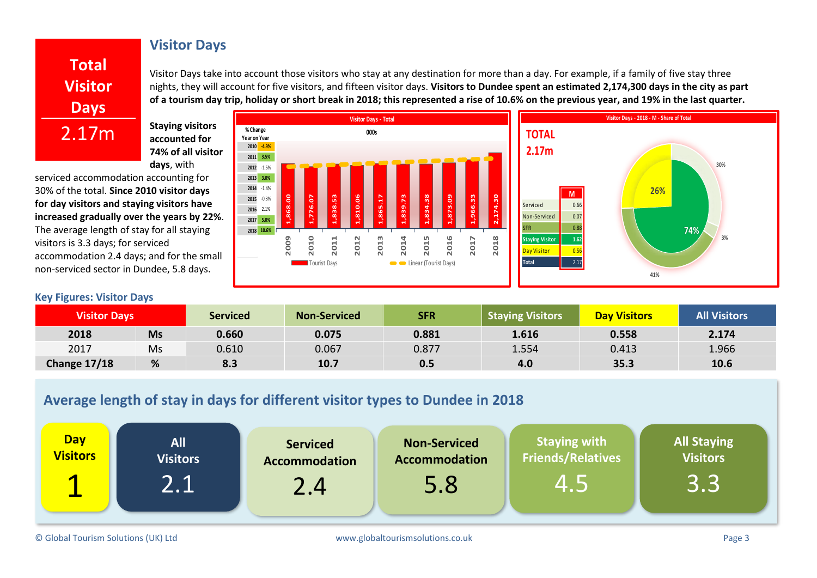# **Visitor Days**

**Total Visitor Days** 2.17m

Visitor Days take into account those visitors who stay at any destination for more than a day. For example, if a family of five stay three nights, they will account for five visitors, and fifteen visitor days. **Visitors to Dundee spent an estimated 2,174,300 days in the city as part of a tourism day trip, holiday or short break in 2018; this represented a rise of 10.6% on the previous year, and 19% in the last quarter.**

**Staying visitors accounted for 74% of all visitor days**, with

serviced accommodation accounting for 30% of the total. **Since 2010 visitor days for day visitors and staying visitors have increased gradually over the years by 22%**. The average length of stay for all staying visitors is 3.3 days; for serviced accommodation 2.4 days; and for the small non-serviced sector in Dundee, 5.8 days.

## **Key Figures: Visitor Days**



| <b>Visitor Days</b> |           | <b>Serviced</b> | <b>Non-Serviced</b> | <b>SFR</b> | <b>Staying Visitors</b> | <b>Day Visitors</b> | <b>All Visitors</b> |
|---------------------|-----------|-----------------|---------------------|------------|-------------------------|---------------------|---------------------|
| 2018                | <b>Ms</b> | 0.660           | 0.075               | 0.881      | 1.616                   | 0.558               | 2.174               |
| 2017                | Ms        | 0.610           | 0.067               | 0.877      | 1.554                   | 0.413               | 1.966               |
| Change 17/18        | %         | 8.3             | 10.7                | 0.5        | 4.0                     | 35.3                | 10.6                |

# **Average length of stay in days for different visitor types to Dundee in 2018**

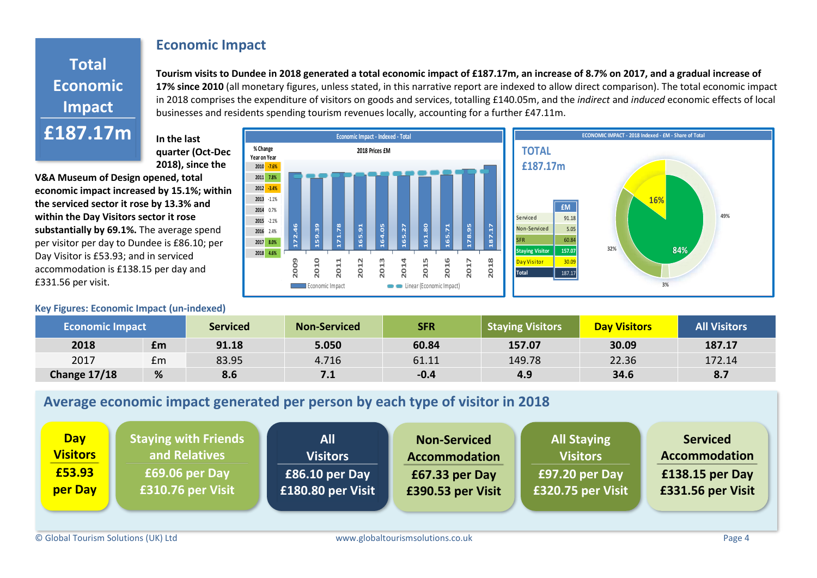## **Economic Impact**

# **Total Economic Impact £187.17m**

**Tourism visits to Dundee in 2018 generated a total economic impact of £187.17m, an increase of 8.7% on 2017, and a gradual increase of 17% since 2010** (all monetary figures, unless stated, in this narrative report are indexed to allow direct comparison). The total economic impact in 2018 comprises the expenditure of visitors on goods and services, totalling £140.05m, and the *indirect* and *induced* economic effects of local businesses and residents spending tourism revenues locally, accounting for a further £47.11m.

**In the last quarter (Oct-Dec 2018), since the** 

**V&A Museum of Design opened, total economic impact increased by 15.1%; within the serviced sector it rose by 13.3% and within the Day Visitors sector it rose substantially by 69.1%.** The average spend per visitor per day to Dundee is £86.10; per Day Visitor is £53.93; and in serviced accommodation is £138.15 per day and £331.56 per visit.

## **Key Figures: Economic Impact (un-indexed)**





| <b>Economic Impact</b> |    | <b>Serviced</b> | <b>Non-Serviced</b> | <b>SFR</b> | <b>Staying Visitors</b> | <b>Day Visitors</b> | <b>All Visitors</b> |
|------------------------|----|-----------------|---------------------|------------|-------------------------|---------------------|---------------------|
| 2018                   | £m | 91.18           | 5.050               | 60.84      | 157.07                  | 30.09               | 187.17              |
| 2017                   | £m | 83.95           | 4.716               | 61.11      | 149.78                  | 22.36               | 172.14              |
| <b>Change 17/18</b>    | %  | 8.6             | 7.1                 | $-0.4$     | 4.9                     | 34.6                | 8.7                 |

# **Average economic impact generated per person by each type of visitor in 2018**

| <b>Day</b>      | <b>Staying with Friends</b> | <b>All</b>        | <b>Non-Serviced</b>  | <b>All Staying</b> | <b>Serviced</b>      |
|-----------------|-----------------------------|-------------------|----------------------|--------------------|----------------------|
| <b>Visitors</b> | and Relatives               | <b>Visitors</b>   | <b>Accommodation</b> | <b>Visitors</b>    | <b>Accommodation</b> |
| £53.93          | £69.06 per Day              | £86.10 per Day    | £67.33 per Day       | £97.20 per Day     | $£138.15$ per Day    |
| per Day         | £310.76 per Visit           | £180.80 per Visit | £390.53 per Visit    | £320.75 per Visit  | £331.56 per Visit    |
|                 |                             |                   |                      |                    |                      |